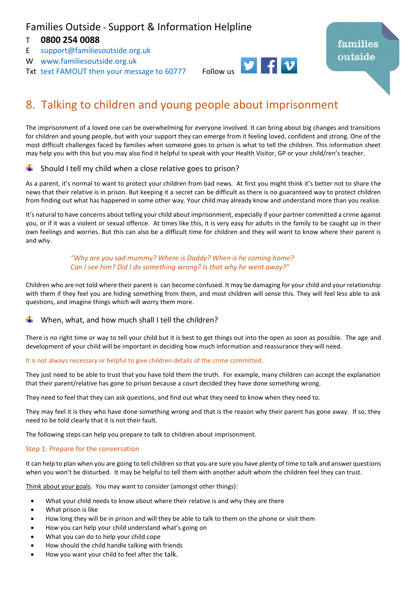# Families Outside - Support & Information Helpline

# T **0800 254 0088**

- E [support@familiesoutside.org.uk](mailto:support@familiesoutside.org.uk)
- W [www.familiesoutside.org.uk](http://www.familiesoutside.org.uk/)
- Txt text FAMOUT then your message to 60777 Follow us



# 8. Talking to children and young people about imprisonment

The imprisonment of a loved one can be overwhelming for everyone involved. It can bring about big changes and transitions for children and young people, but with your support they can emerge from it feeling loved, confident and strong. One of the most difficult challenges faced by families when someone goes to prison is what to tell the children. This information sheet may help you with this but you may also find it helpful to speak with your Health Visitor, GP or your child/ren's teacher.

# Should I tell my child when a close relative goes to prison?

As a parent, it's normal to want to protect your children from bad news. At first you might think it's better not to share the news that their relative is in prison. But keeping it a secret can be difficult as there is no guaranteed way to protect children from finding out what has happened in some other way. Your child may already know and understand more than you realise.

It's natural to have concerns about telling your child about imprisonment, especially if your partner committed a crime against you, or if it was a violent or sexual offence. At times like this, it is very easy for adults in the family to be caught up in their own feelings and worries. But this can also be a difficult time for children and they will want to know where their parent is and why.

#### *"Why are you sad mummy? Where is Daddy? When is he coming home? Can I see him? Did I do something wrong? Is that why he went away?"*

Children who are not told where their parent is can become confused. It may be damaging for your child and your relationship with them if they feel you are hiding something from them, and most children will sense this. They will feel less able to ask questions, and imagine things which will worry them more.

# When, what, and how much shall I tell the children?

There is no right time or way to tell your child but it is best to get things out into the open as soon as possible. The age and development of your child will be important in deciding how much information and reassurance they will need.

#### It is not always necessary or helpful to give children details of the crime committed.

They just need to be able to trust that you have told them the truth. For example, many children can accept the explanation that their parent/relative has gone to prison because a court decided they have done something wrong.

They need to feel that they can ask questions, and find out what they need to know when they need to.

They may feel it is they who have done something wrong and that is the reason why their parent has gone away. If so, they need to be told clearly that it is not their fault.

The following steps can help you prepare to talk to children about imprisonment.

#### Step 1: Prepare for the conversation

It can help to plan when you are going to tell children so that you are sure you have plenty of time to talk and answer questions when you won't be disturbed. It may be helpful to tell them with another adult whom the children feel they can trust.

Think about your goals. You may want to consider (amongst other things):

- What your child needs to know about where their relative is and why they are there
- What prison is like
- How long they will be in prison and will they be able to talk to them on the phone or visit them
- How you can help your child understand what's going on
- What you can do to help your child cope
- How should the child handle talking with friends
- How you want your child to feel after the talk.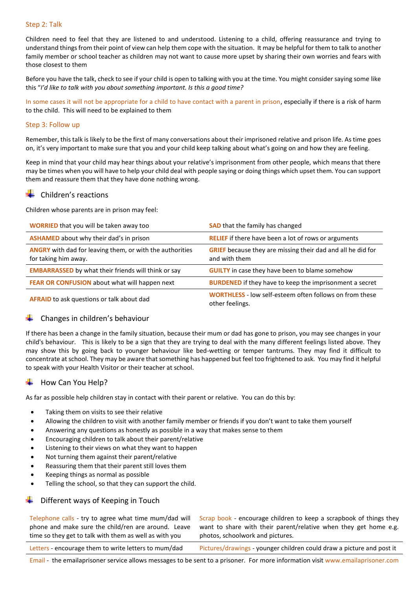#### Step 2: Talk

Children need to feel that they are listened to and understood. Listening to a child, offering reassurance and trying to understand things from their point of view can help them cope with the situation. It may be helpful for them to talk to another family member or school teacher as children may not want to cause more upset by sharing their own worries and fears with those closest to them

Before you have the talk, check to see if your child is open to talking with you at the time. You might consider saying some like this "*I'd like to talk with you about something important. Is this a good time?*

In some cases it will not be appropriate for a child to have contact with a parent in prison, especially if there is a risk of harm to the child. This will need to be explained to them

#### Step 3: Follow up

Remember, this talk is likely to be the first of many conversations about their imprisoned relative and prison life. As time goes on, it's very important to make sure that you and your child keep talking about what's going on and how they are feeling.

Keep in mind that your child may hear things about your relative's imprisonment from other people, which means that there may be times when you will have to help your child deal with people saying or doing things which upset them. You can support them and reassure them that they have done nothing wrong.

#### Children's reactions

Children whose parents are in prison may feel:

| <b>WORRIED</b> that you will be taken away too                                          | <b>SAD</b> that the family has changed                                              |
|-----------------------------------------------------------------------------------------|-------------------------------------------------------------------------------------|
| <b>ASHAMED</b> about why their dad's in prison                                          | <b>RELIEF</b> if there have been a lot of rows or arguments                         |
| <b>ANGRY</b> with dad for leaving them, or with the authorities<br>for taking him away. | <b>GRIEF</b> because they are missing their dad and all he did for<br>and with them |
| <b>EMBARRASSED</b> by what their friends will think or say                              | <b>GUILTY</b> in case they have been to blame somehow                               |
| FEAR OR CONFUSION about what will happen next                                           | <b>BURDENED</b> if they have to keep the imprisonment a secret                      |
| <b>AFRAID</b> to ask questions or talk about dad                                        | <b>WORTHLESS</b> - low self-esteem often follows on from these<br>other feelings.   |

# Changes in children's behaviour

If there has been a change in the family situation, because their mum or dad has gone to prison, you may see changes in your child's behaviour. This is likely to be a sign that they are trying to deal with the many different feelings listed above. They may show this by going back to younger behaviour like bed-wetting or temper tantrums. They may find it difficult to concentrate at school. They may be aware that something has happened but feel too frightened to ask. You may find it helpful to speak with your Health Visitor or their teacher at school.

# How Can You Help?

As far as possible help children stay in contact with their parent or relative. You can do this by:

- Taking them on visits to see their relative
- Allowing the children to visit with another family member or friends if you don't want to take them yourself
- Answering any questions as honestly as possible in a way that makes sense to them
- Encouraging children to talk about their parent/relative
- Listening to their views on what they want to happen
- Not turning them against their parent/relative
- Reassuring them that their parent still loves them
- Keeping things as normal as possible
- Telling the school, so that they can support the child.

# Different ways of Keeping in Touch

Telephone calls - try to agree what time mum/dad will phone and make sure the child/ren are around. Leave time so they get to talk with them as well as with you

Scrap book - encourage children to keep a scrapbook of things they want to share with their parent/relative when they get home e.g. photos, schoolwork and pictures.

Letters - encourage them to write letters to mum/dad Pictures/drawings - younger children could draw a picture and post it

Email - the emailaprisoner service allows messages to be sent to a prisoner. For more information visi[t www.emailaprisoner.com](http://www.emailaprisoner.com/)